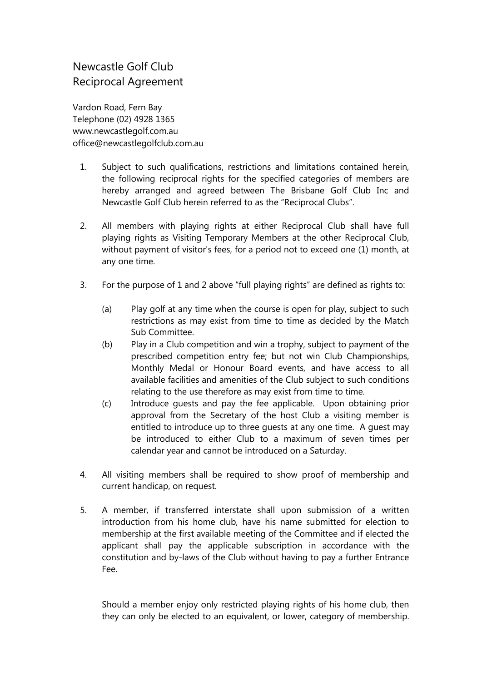## Newcastle Golf Club Reciprocal Agreement

Vardon Road, Fern Bay Telephone (02) 4928 1365 [www.newcastlegolf.com.au](http://www.newcastlegolf.com.au/) [office@newcastlegolfclub.com.au](mailto:office@newcastlegolfclub.com.au)

- 1. Subject to such qualifications, restrictions and limitations contained herein, the following reciprocal rights for the specified categories of members are hereby arranged and agreed between The Brisbane Golf Club Inc and Newcastle Golf Club herein referred to as the "Reciprocal Clubs".
- 2. All members with playing rights at either Reciprocal Club shall have full playing rights as Visiting Temporary Members at the other Reciprocal Club, without payment of visitor's fees, for a period not to exceed one (1) month, at any one time.
- 3. For the purpose of 1 and 2 above "full playing rights" are defined as rights to:
	- (a) Play golf at any time when the course is open for play, subject to such restrictions as may exist from time to time as decided by the Match Sub Committee.
	- (b) Play in a Club competition and win a trophy, subject to payment of the prescribed competition entry fee; but not win Club Championships, Monthly Medal or Honour Board events, and have access to all available facilities and amenities of the Club subject to such conditions relating to the use therefore as may exist from time to time.
	- (c) Introduce guests and pay the fee applicable. Upon obtaining prior approval from the Secretary of the host Club a visiting member is entitled to introduce up to three guests at any one time. A guest may be introduced to either Club to a maximum of seven times per calendar year and cannot be introduced on a Saturday.
- 4. All visiting members shall be required to show proof of membership and current handicap, on request.
- 5. A member, if transferred interstate shall upon submission of a written introduction from his home club, have his name submitted for election to membership at the first available meeting of the Committee and if elected the applicant shall pay the applicable subscription in accordance with the constitution and by-laws of the Club without having to pay a further Entrance Fee.

Should a member enjoy only restricted playing rights of his home club, then they can only be elected to an equivalent, or lower, category of membership.